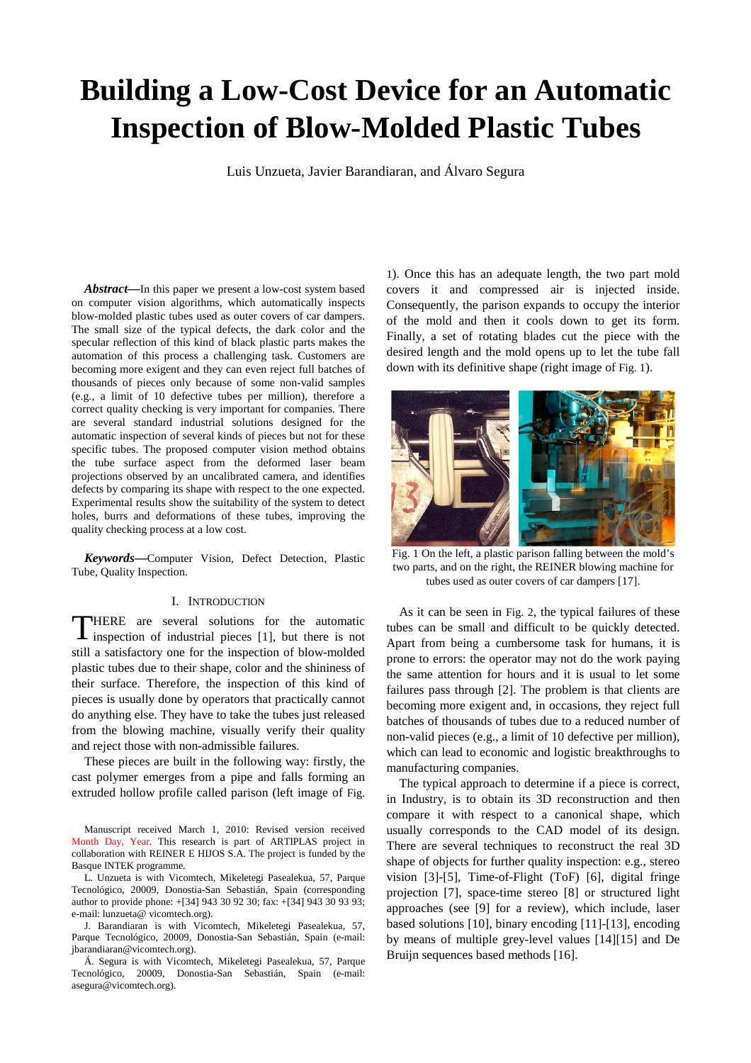# **Building a Low-Cost Device for an Automatic Inspection of Blow-Molded Plastic Tubes**

Luis Unzueta, Javier Barandiaran, and Álvaro Segura

*Abstract***—**In this paper we present a low-cost system based on computer vision algorithms, which automatically inspects blow-molded plastic tubes used as outer covers of car dampers. The small size of the typical defects, the dark color and the specular reflection of this kind of black plastic parts makes the automation of this process a challenging task. Customers are becoming more exigent and they can even reject full batches of thousands of pieces only because of some non-valid samples (e.g., a limit of 10 defective tubes per million), therefore a correct quality checking is very important for companies. There are several standard industrial solutions designed for the automatic inspection of several kinds of pieces but not for these specific tubes. The proposed computer vision method obtains the tube surface aspect from the deformed laser beam projections observed by an uncalibrated camera, and identifies defects by comparing its shape with respect to the one expected. Experimental results show the suitability of the system to detect holes, burrs and deformations of these tubes, improving the quality checking process at a low cost.

*Keywords***—**Computer Vision, Defect Detection, Plastic Tube, Quality Inspection.

### I. INTRODUCTION

THERE are several solutions for the automatic<br>inspection of industrial pieces [1], but there is not inspection of industrial pieces [1], but there is not still a satisfactory one for the inspection of blow-molded plastic tubes due to their shape, color and the shininess of their surface. Therefore, the inspection of this kind of pieces is usually done by operators that practically cannot do anything else. They have to take the tubes just released from the blowing machine, visually verify their quality and reject those with non-admissible failures.

These pieces are built in the following way: firstly, the cast polymer emerges from a pipe and falls forming an extruded hollow profile called parison (left image of Fig.

Manuscript received March 1, 2010: Revised version received Month Day, Year. This research is part of ARTIPLAS project in collaboration with REINER E HIJOS S.A. The project is funded by the Basque INTEK programme.

L. Unzueta is with Vicomtech, Mikeletegi Pasealekua, 57, Parque Tecnológico, 20009, Donostia-San Sebastián, Spain (corresponding author to provide phone: +[34] 943 30 92 30; fax: +[34] 943 30 93 93; e-mail: lunzueta@ vicomtech.org).

J. Barandiaran is with Vicomtech, Mikeletegi Pasealekua, 57, Parque Tecnológico, 20009, Donostia-San Sebastián, Spain (e-mail: jbarandiaran@vicomtech.org).

Á. Segura is with Vicomtech, Mikeletegi Pasealekua, 57, Parque Tecnológico, 20009, Donostia-San Sebastián, Spain (e-mail: asegura@vicomtech.org).

1). Once this has an adequate length, the two part mold covers it and compressed air is injected inside. Consequently, the parison expands to occupy the interior of the mold and then it cools down to get its form. Finally, a set of rotating blades cut the piece with the desired length and the mold opens up to let the tube fall down with its definitive shape (right image of Fig. 1).



Fig. 1 On the left, a plastic parison falling between the mold's two parts, and on the right, the REINER blowing machine for tubes used as outer covers of car dampers [17].

As it can be seen in Fig. 2, the typical failures of these tubes can be small and difficult to be quickly detected. Apart from being a cumbersome task for humans, it is prone to errors: the operator may not do the work paying the same attention for hours and it is usual to let some failures pass through [2]. The problem is that clients are becoming more exigent and, in occasions, they reject full batches of thousands of tubes due to a reduced number of non-valid pieces (e.g., a limit of 10 defective per million), which can lead to economic and logistic breakthroughs to manufacturing companies.

The typical approach to determine if a piece is correct, in Industry, is to obtain its 3D reconstruction and then compare it with respect to a canonical shape, which usually corresponds to the CAD model of its design. There are several techniques to reconstruct the real 3D shape of objects for further quality inspection: e.g., stereo vision [3]-[5], Time-of-Flight (ToF) [6], digital fringe projection [7], space-time stereo [8] or structured light approaches (see [9] for a review), which include, laser based solutions [10], binary encoding [11]-[13], encoding by means of multiple grey-level values [14][15] and De Bruijn sequences based methods [16].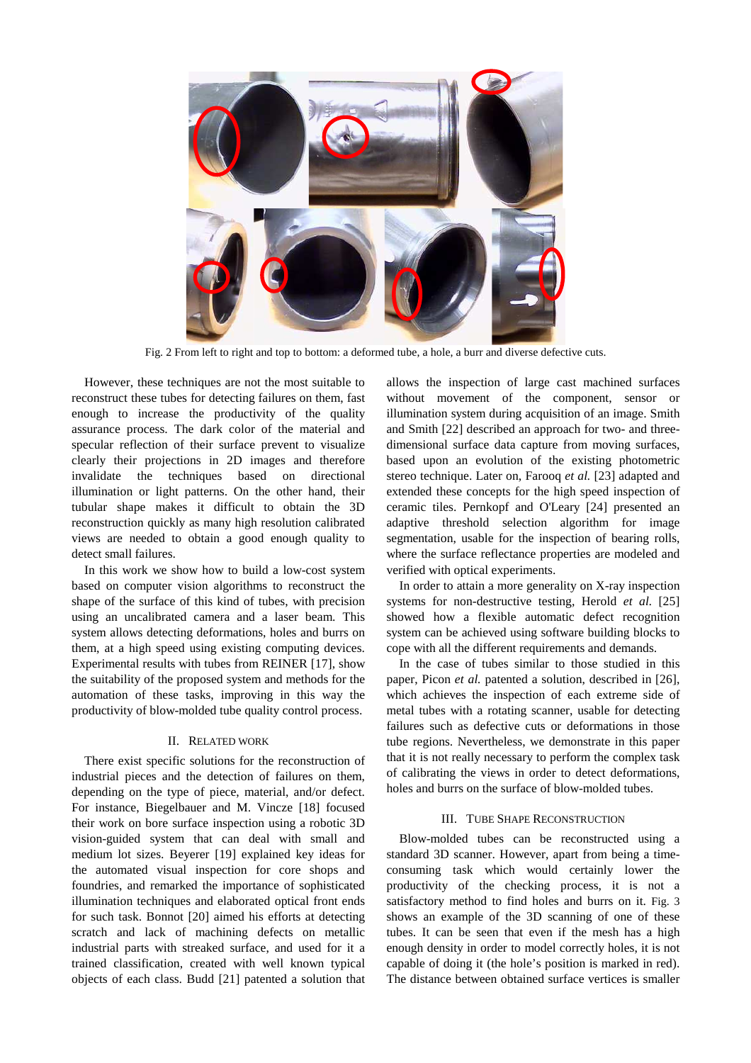

Fig. 2 From left to right and top to bottom: a deformed tube, a hole, a burr and diverse defective cuts.

However, these techniques are not the most suitable to reconstruct these tubes for detecting failures on them, fast enough to increase the productivity of the quality assurance process. The dark color of the material and specular reflection of their surface prevent to visualize clearly their projections in 2D images and therefore invalidate the techniques based on directional illumination or light patterns. On the other hand, their tubular shape makes it difficult to obtain the 3D reconstruction quickly as many high resolution calibrated views are needed to obtain a good enough quality to detect small failures.

In this work we show how to build a low-cost system based on computer vision algorithms to reconstruct the shape of the surface of this kind of tubes, with precision using an uncalibrated camera and a laser beam. This system allows detecting deformations, holes and burrs on them, at a high speed using existing computing devices. Experimental results with tubes from REINER [17], show the suitability of the proposed system and methods for the automation of these tasks, improving in this way the productivity of blow-molded tube quality control process.

## II. RELATED WORK

There exist specific solutions for the reconstruction of industrial pieces and the detection of failures on them, depending on the type of piece, material, and/or defect. For instance, Biegelbauer and M. Vincze [18] focused their work on bore surface inspection using a robotic 3D vision-guided system that can deal with small and medium lot sizes. Beyerer [19] explained key ideas for the automated visual inspection for core shops and foundries, and remarked the importance of sophisticated illumination techniques and elaborated optical front ends for such task. Bonnot [20] aimed his efforts at detecting scratch and lack of machining defects on metallic industrial parts with streaked surface, and used for it a trained classification, created with well known typical objects of each class. Budd [21] patented a solution that allows the inspection of large cast machined surfaces without movement of the component, sensor or illumination system during acquisition of an image. Smith and Smith [22] described an approach for two- and threedimensional surface data capture from moving surfaces, based upon an evolution of the existing photometric stereo technique. Later on, Farooq *et al.* [23] adapted and extended these concepts for the high speed inspection of ceramic tiles. Pernkopf and O'Leary [24] presented an adaptive threshold selection algorithm for image segmentation, usable for the inspection of bearing rolls, where the surface reflectance properties are modeled and verified with optical experiments.

In order to attain a more generality on X-ray inspection systems for non-destructive testing, Herold *et al.* [25] showed how a flexible automatic defect recognition system can be achieved using software building blocks to cope with all the different requirements and demands.

In the case of tubes similar to those studied in this paper, Picon *et al.* patented a solution, described in [26], which achieves the inspection of each extreme side of metal tubes with a rotating scanner, usable for detecting failures such as defective cuts or deformations in those tube regions. Nevertheless, we demonstrate in this paper that it is not really necessary to perform the complex task of calibrating the views in order to detect deformations, holes and burrs on the surface of blow-molded tubes.

## III. TUBE SHAPE RECONSTRUCTION

Blow-molded tubes can be reconstructed using a standard 3D scanner. However, apart from being a timeconsuming task which would certainly lower the productivity of the checking process, it is not a satisfactory method to find holes and burrs on it. Fig. 3 shows an example of the 3D scanning of one of these tubes. It can be seen that even if the mesh has a high enough density in order to model correctly holes, it is not capable of doing it (the hole's position is marked in red). The distance between obtained surface vertices is smaller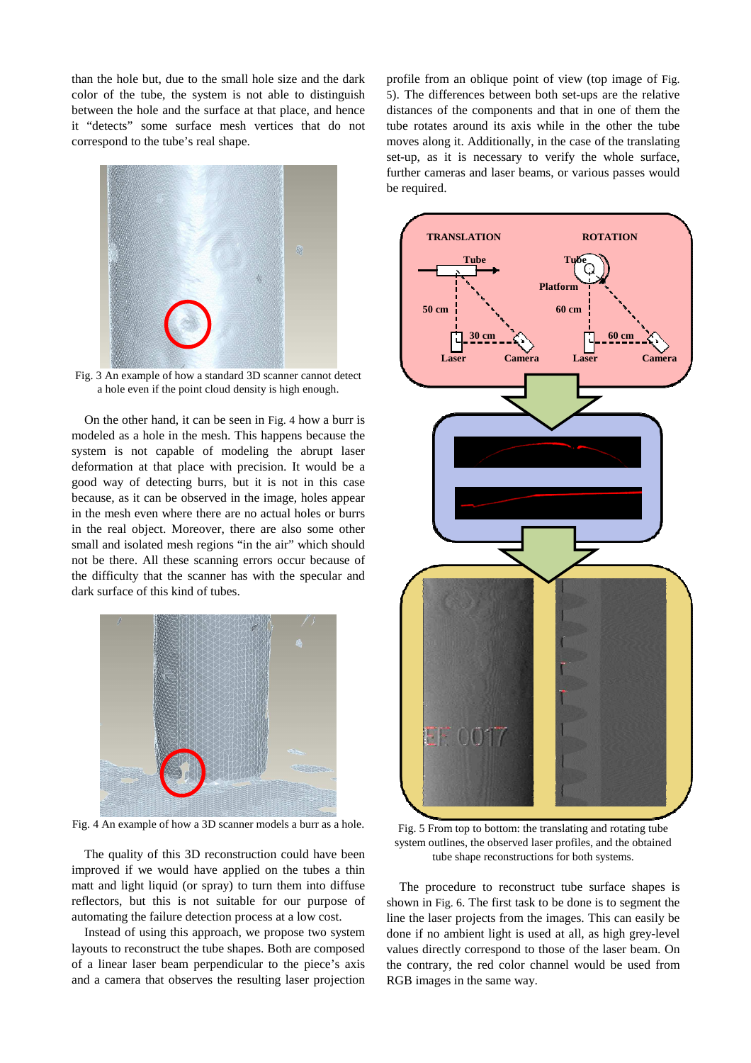than the hole but, due to the small hole size and the dark color of the tube, the system is not able to distinguish between the hole and the surface at that place, and hence it "detects" some surface mesh vertices that do not correspond to the tube's real shape.



Fig. 3 An example of how a standard 3D scanner cannot detect a hole even if the point cloud density is high enough.

On the other hand, it can be seen in Fig. 4 how a burr is modeled as a hole in the mesh. This happens because the system is not capable of modeling the abrupt laser deformation at that place with precision. It would be a good way of detecting burrs, but it is not in this case because, as it can be observed in the image, holes appear in the mesh even where there are no actual holes or burrs in the real object. Moreover, there are also some other small and isolated mesh regions "in the air" which should not be there. All these scanning errors occur because of the difficulty that the scanner has with the specular and dark surface of this kind of tubes.



Fig. 4 An example of how a 3D scanner models a burr as a hole.

The quality of this 3D reconstruction could have been improved if we would have applied on the tubes a thin matt and light liquid (or spray) to turn them into diffuse reflectors, but this is not suitable for our purpose of automating the failure detection process at a low cost.

Instead of using this approach, we propose two system layouts to reconstruct the tube shapes. Both are composed of a linear laser beam perpendicular to the piece's axis and a camera that observes the resulting laser projection profile from an oblique point of view (top image of Fig. 5). The differences between both set-ups are the relative distances of the components and that in one of them the tube rotates around its axis while in the other the tube moves along it. Additionally, in the case of the translating set-up, as it is necessary to verify the whole surface, further cameras and laser beams, or various passes would be required.



Fig. 5 From top to bottom: the translating and rotating tube system outlines, the observed laser profiles, and the obtained tube shape reconstructions for both systems.

The procedure to reconstruct tube surface shapes is shown in Fig. 6. The first task to be done is to segment the line the laser projects from the images. This can easily be done if no ambient light is used at all, as high grey-level values directly correspond to those of the laser beam. On the contrary, the red color channel would be used from RGB images in the same way.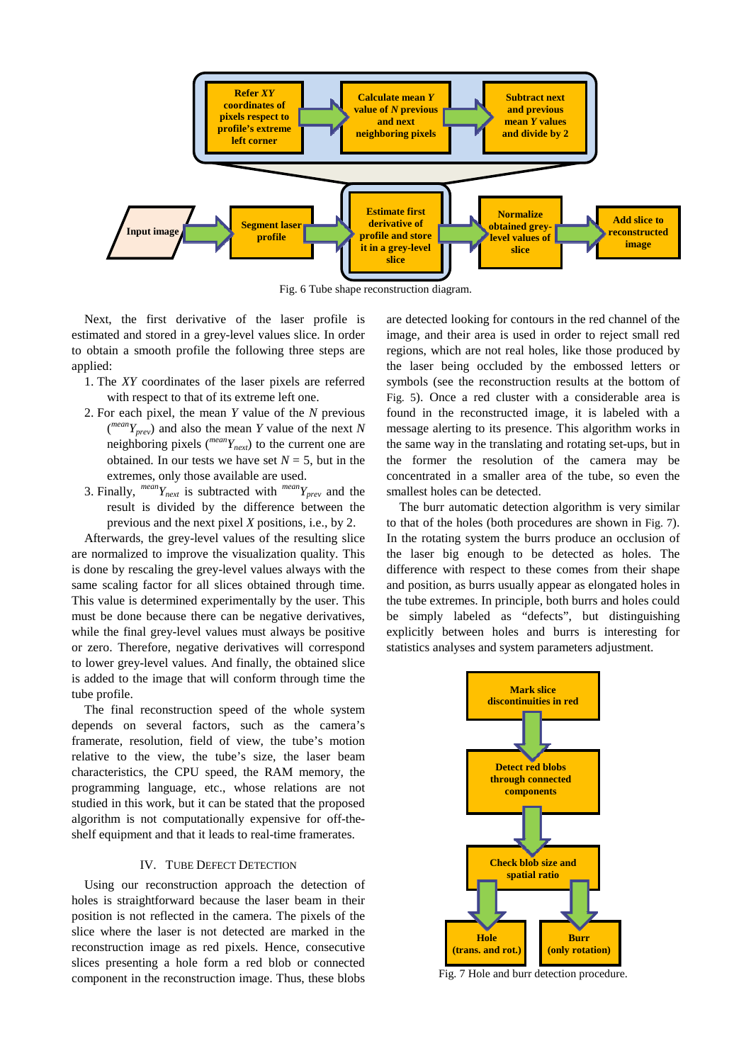

Fig. 6 Tube shape reconstruction diagram.

Next, the first derivative of the laser profile is estimated and stored in a grey-level values slice. In order to obtain a smooth profile the following three steps are applied:

- 1. The *XY* coordinates of the laser pixels are referred with respect to that of its extreme left one.
- 2. For each pixel, the mean *Y* value of the *N* previous ( *meanYprev*) and also the mean *Y* value of the next *N* neighboring pixels (*meanYnext*) to the current one are obtained. In our tests we have set  $N = 5$ , but in the extremes, only those available are used.
- 3. Finally,  $^{mean}Y_{next}$  is subtracted with  $^{mean}Y_{prev}$  and the result is divided by the difference between the previous and the next pixel *X* positions, i.e., by 2.

Afterwards, the grey-level values of the resulting slice are normalized to improve the visualization quality. This is done by rescaling the grey-level values always with the same scaling factor for all slices obtained through time. This value is determined experimentally by the user. This must be done because there can be negative derivatives, while the final grey-level values must always be positive or zero. Therefore, negative derivatives will correspond to lower grey-level values. And finally, the obtained slice is added to the image that will conform through time the tube profile.

The final reconstruction speed of the whole system depends on several factors, such as the camera's framerate, resolution, field of view, the tube's motion relative to the view, the tube's size, the laser beam characteristics, the CPU speed, the RAM memory, the programming language, etc., whose relations are not studied in this work, but it can be stated that the proposed algorithm is not computationally expensive for off-theshelf equipment and that it leads to real-time framerates.

## IV. TUBE DEFECT DETECTION

Using our reconstruction approach the detection of holes is straightforward because the laser beam in their position is not reflected in the camera. The pixels of the slice where the laser is not detected are marked in the reconstruction image as red pixels. Hence, consecutive slices presenting a hole form a red blob or connected component in the reconstruction image. Thus, these blobs are detected looking for contours in the red channel of the image, and their area is used in order to reject small red regions, which are not real holes, like those produced by the laser being occluded by the embossed letters or symbols (see the reconstruction results at the bottom of Fig. 5). Once a red cluster with a considerable area is found in the reconstructed image, it is labeled with a message alerting to its presence. This algorithm works in the same way in the translating and rotating set-ups, but in the former the resolution of the camera may be concentrated in a smaller area of the tube, so even the smallest holes can be detected.

The burr automatic detection algorithm is very similar to that of the holes (both procedures are shown in Fig. 7). In the rotating system the burrs produce an occlusion of the laser big enough to be detected as holes. The difference with respect to these comes from their shape and position, as burrs usually appear as elongated holes in the tube extremes. In principle, both burrs and holes could be simply labeled as "defects", but distinguishing explicitly between holes and burrs is interesting for statistics analyses and system parameters adjustment.



Fig. 7 Hole and burr detection procedure.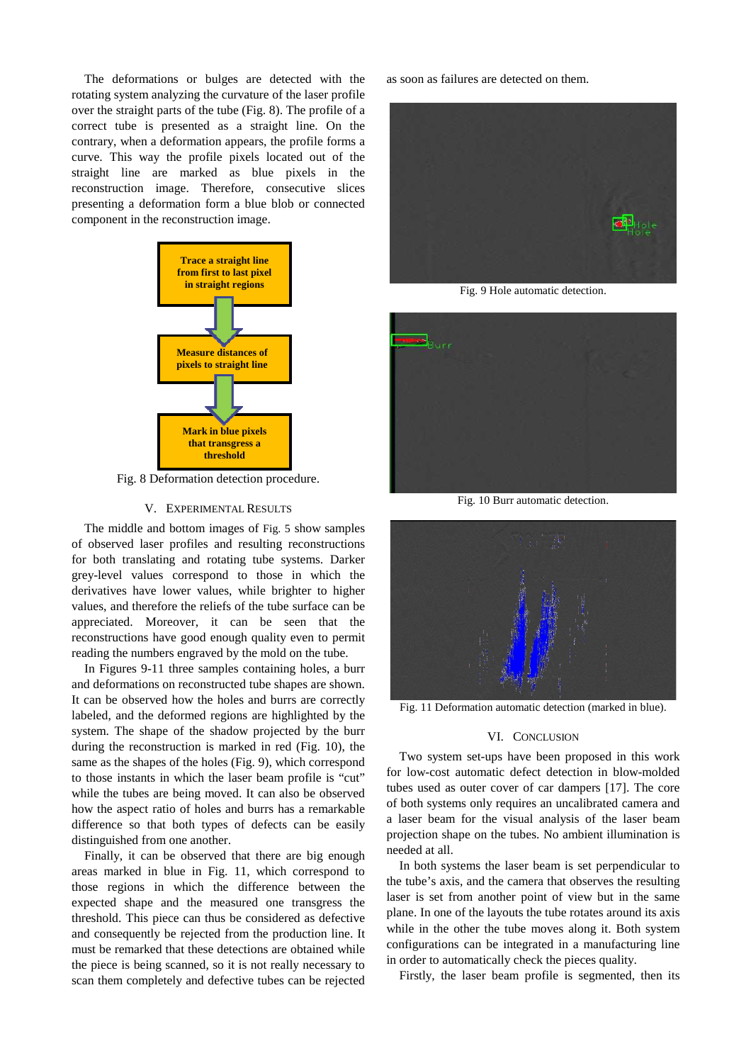The deformations or bulges are detected with the rotating system analyzing the curvature of the laser profile over the straight parts of the tube (Fig. 8). The profile of a correct tube is presented as a straight line. On the contrary, when a deformation appears, the profile forms a curve. This way the profile pixels located out of the straight line are marked as blue pixels in the reconstruction image. Therefore, consecutive slices presenting a deformation form a blue blob or connected component in the reconstruction image.



Fig. 8 Deformation detection procedure.

## V. EXPERIMENTAL RESULTS

The middle and bottom images of Fig. 5 show samples of observed laser profiles and resulting reconstructions for both translating and rotating tube systems. Darker grey-level values correspond to those in which the derivatives have lower values, while brighter to higher values, and therefore the reliefs of the tube surface can be appreciated. Moreover, it can be seen that the reconstructions have good enough quality even to permit reading the numbers engraved by the mold on the tube.

In Figures 9-11 three samples containing holes, a burr and deformations on reconstructed tube shapes are shown. It can be observed how the holes and burrs are correctly labeled, and the deformed regions are highlighted by the system. The shape of the shadow projected by the burr during the reconstruction is marked in red (Fig. 10), the same as the shapes of the holes (Fig. 9), which correspond to those instants in which the laser beam profile is "cut" while the tubes are being moved. It can also be observed how the aspect ratio of holes and burrs has a remarkable difference so that both types of defects can be easily distinguished from one another.

Finally, it can be observed that there are big enough areas marked in blue in Fig. 11, which correspond to those regions in which the difference between the expected shape and the measured one transgress the threshold. This piece can thus be considered as defective and consequently be rejected from the production line. It must be remarked that these detections are obtained while the piece is being scanned, so it is not really necessary to scan them completely and defective tubes can be rejected

as soon as failures are detected on them.



Fig. 9 Hole automatic detection.



Fig. 10 Burr automatic detection.



Fig. 11 Deformation automatic detection (marked in blue).

## VI. CONCLUSION

Two system set-ups have been proposed in this work for low-cost automatic defect detection in blow-molded tubes used as outer cover of car dampers [17]. The core of both systems only requires an uncalibrated camera and a laser beam for the visual analysis of the laser beam projection shape on the tubes. No ambient illumination is needed at all.

In both systems the laser beam is set perpendicular to the tube's axis, and the camera that observes the resulting laser is set from another point of view but in the same plane. In one of the layouts the tube rotates around its axis while in the other the tube moves along it. Both system configurations can be integrated in a manufacturing line in order to automatically check the pieces quality.

Firstly, the laser beam profile is segmented, then its